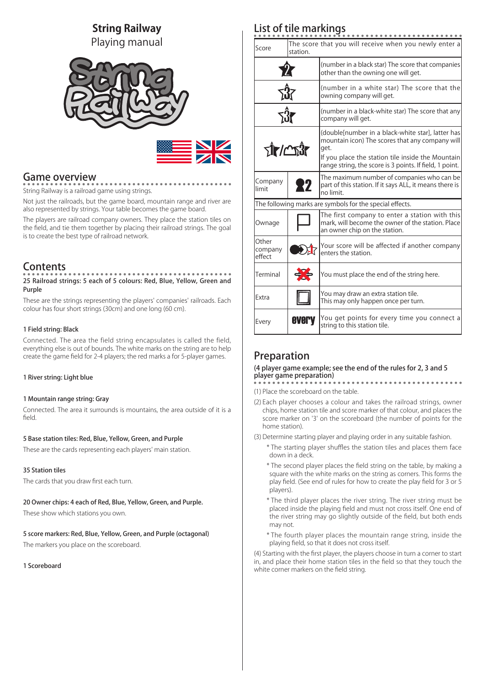# **String Railway**

Playing manual



# Game overview

String Railway is a railroad game using strings.

Not just the railroads, but the game board, mountain range and river are also represented by strings. Your table becomes the game board.

The players are railroad company owners. They place the station tiles on the field, and tie them together by placing their railroad strings. The goal is to create the best type of railroad network.

# **Contents**

# 25 Railroad strings: 5 each of 5 colours: Red, Blue, Yellow, Green and Purple

These are the strings representing the players' companies' railroads. Each colour has four short strings (30cm) and one long (60 cm).

## 1 Field string: Black

Connected. The area the field string encapsulates is called the field, everything else is out of bounds. The white marks on the string are to help create the game field for 2-4 players; the red marks a for 5-player games.

## 1 River string: Light blue

## 1 Mountain range string: Gray

Connected. The area it surrounds is mountains, the area outside of it is a field.

## 5 Base station tiles: Red, Blue, Yellow, Green, and Purple

These are the cards representing each players' main station.

### 35 Station tiles

The cards that you draw first each turn.

20 Owner chips: 4 each of Red, Blue, Yellow, Green, and Purple. These show which stations you own.

5 score markers: Red, Blue, Yellow, Green, and Purple (octagonal) The markers you place on the scoreboard.

1 Scoreboard

# List of tile markings

| Score                                                    | station. | The score that you will receive when you newly enter a                                                                                                                                                                       |
|----------------------------------------------------------|----------|------------------------------------------------------------------------------------------------------------------------------------------------------------------------------------------------------------------------------|
|                                                          |          | (number in a black star) The score that companies<br>other than the owning one will get.                                                                                                                                     |
|                                                          |          | (number in a white star) The score that the<br>owning company will get.                                                                                                                                                      |
|                                                          |          | (number in a black-white star) The score that any<br>company will get.                                                                                                                                                       |
| $\tau$ ir/ $\sim$ î $\tau$                               |          | (double number in a black-white star), latter has<br>mountain icon) The scores that any company will<br>get.<br>If you place the station tile inside the Mountain<br>range string, the score is 3 points. If field, 1 point. |
| Company<br>limit                                         | 27       | The maximum number of companies who can be<br>part of this station. If it says ALL, it means there is<br>no limit.                                                                                                           |
| The following marks are symbols for the special effects. |          |                                                                                                                                                                                                                              |
| Ownage                                                   |          | The first company to enter a station with this<br>mark, will become the owner of the station. Place<br>an owner chip on the station.                                                                                         |
| Other<br>company<br>effect                               |          | Your score will be affected if another company<br>enters the station.                                                                                                                                                        |
| Terminal                                                 |          | You must place the end of the string here.                                                                                                                                                                                   |
| Extra                                                    |          | You may draw an extra station tile.<br>This may only happen once per turn.                                                                                                                                                   |
| Every                                                    | everv    | You get points for every time you connect a<br>string to this station tile.                                                                                                                                                  |

# Preparation

### (4 player game example; see the end of the rules for 2, 3 and 5 player game preparation)

- (1) Place the scoreboard on the table.
- (2) Each player chooses a colour and takes the railroad strings, owner chips, home station tile and score marker of that colour, and places the score marker on '3' on the scoreboard (the number of points for the home station).
- (3) Determine starting player and playing order in any suitable fashion.
	- \* The starting player shuffles the station tiles and places them face down in a deck.
	- \* The second player places the field string on the table, by making a square with the white marks on the string as corners. This forms the play field. (See end of rules for how to create the play field for 3 or 5 players).
	- \* The third player places the river string. The river string must be placed inside the playing field and must not cross itself. One end of the river string may go slightly outside of the field, but both ends may not.
	- \* The fourth player places the mountain range string, inside the playing field, so that it does not cross itself.

(4) Starting with the first player, the players choose in turn a corner to start in, and place their home station tiles in the field so that they touch the white corner markers on the field string.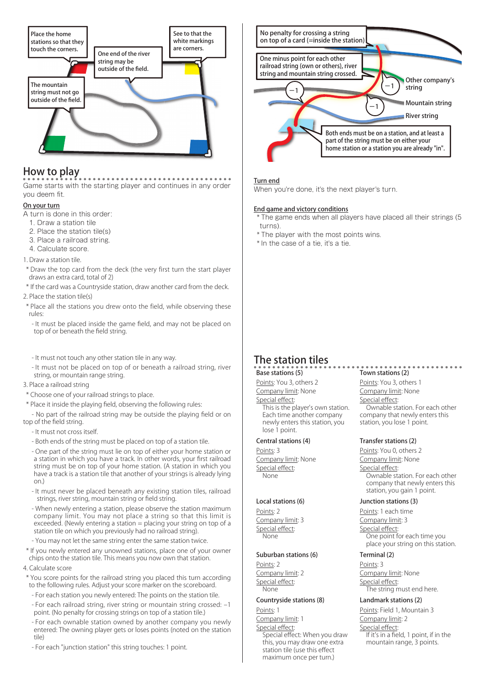

# How to play

Game starts with the starting player and continues in any order you deem fit.

## On your turn

A turn is done in this order:

- 1. Draw a station tile
- 2. Place the station tile(s)
- 3. Place a railroad string.
- 4. Calculate score.
- 1. Draw a station tile.
- \* Draw the top card from the deck (the very first turn the start player draws an extra card, total of 2)
- \* If the card was a Countryside station, draw another card from the deck.
- 2. Place the station tile(s)
- \* Place all the stations you drew onto the field, while observing these rules:
	- It must be placed inside the game field, and may not be placed on top of or beneath the field string.
	- It must not touch any other station tile in any way.
- It must not be placed on top of or beneath a railroad string, river string, or mountain range string.
- 3. Place a railroad string
- \* Choose one of your railroad strings to place.
- \* Place it inside the playing field, observing the following rules:
- No part of the railroad string may be outside the playing field or on top of the field string.
	- It must not cross itself.
	- Both ends of the string must be placed on top of a station tile.
	- One part of the string must lie on top of either your home station or a station in which you have a track. In other words, your first railroad string must be on top of your home station. (A station in which you have a track is a station tile that another of your strings is already lying on.)
	- It must never be placed beneath any existing station tiles, railroad strings, river string, mountain string or field string.
	- When newly entering a station, please observe the station maximum company limit. You may not place a string so that this limit is exceeded. (Newly entering a station  $=$  placing your string on top of a station tile on which you previously had no railroad string).
	- You may not let the same string enter the same station twice.
- \* If you newly entered any unowned stations, place one of your owner chips onto the station tile. This means you now own that station.

### 4. Calculate score

- \* You score points for the railroad string you placed this turn according to the following rules. Adjust your score marker on the scoreboard.
	- For each station you newly entered: The points on the station tile.
	- For each railroad string, river string or mountain string crossed: –1 point. (No penalty for crossing strings on top of a station tile.)
	- For each ownable station owned by another company you newly entered: The owning player gets or loses points (noted on the station tile)
	- For each "junction station" this string touches: 1 point.



### Turn end

When you're done, it's the next player's turn.

#### End game and victory conditions

 \* The game ends when all players have placed all their strings (5 turns).

- \* The player with the most points wins.
- \* In the case of a tie, it's a tie.

# The station tiles

## Base stations (5)

Points: You 3, others 2 Company limit: None Special effect:

This is the player's own station. Each time another company newly enters this station, you lose 1 point.

#### Central stations (4)

Points: 3 Company limit: None Special effect: None

#### Local stations (6)

Points: 2 Company limit: 3 Special effect: None

#### Suburban stations (6)

Points: 2 Company limit: 2 Special effect: None

### Countryside stations (8)

Points: 1 Company limit: 1 Special effect: Special effect: When you draw this, you may draw one extra station tile (use this effect maximum once per turn.)

# Town stations (2)

Points: You 3, others 1 Company limit: None Special effect: Ownable station. For each other company that newly enters this station, you lose 1 point.

### Transfer stations (2)

Points: You 0, others 2

Company limit: None

Special effect: Ownable station. For each other

company that newly enters this station, you gain 1 point.

### Junction stations (3)

Points: 1 each time Company limit: 3 Special effect: One point for each time you place your string on this station.

## Terminal (2)

Points: 3 Company limit: None Special effect: The string must end here.

### Landmark stations (2)

Points: Field 1, Mountain 3 Company limit: 2 Special effect: If it's in a field, 1 point, if in the mountain range, 3 points.